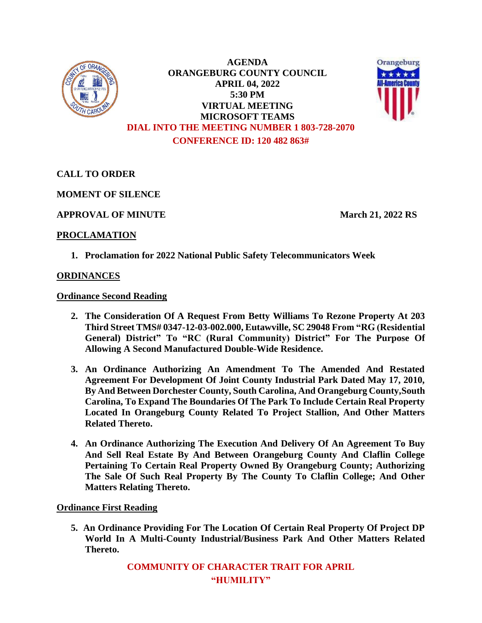

**AGENDA ORANGEBURG COUNTY COUNCIL APRIL 04, 2022 5:30 PM VIRTUAL MEETING MICROSOFT TEAMS DIAL INTO THE MEETING NUMBER 1 803-728-2070 CONFERENCE ID: 120 482 863#**



**CALL TO ORDER**

**MOMENT OF SILENCE**

**APPROVAL OF MINUTE March 21, 2022 RS**

# **PROCLAMATION**

**1. Proclamation for 2022 National Public Safety Telecommunicators Week**

# **ORDINANCES**

**Ordinance Second Reading**

- **2. The Consideration Of A Request From Betty Williams To Rezone Property At 203 Third Street TMS# 0347-12-03-002.000, Eutawville, SC 29048 From "RG (Residential General) District" To "RC (Rural Community) District" For The Purpose Of Allowing A Second Manufactured Double-Wide Residence.**
- **3. An Ordinance Authorizing An Amendment To The Amended And Restated Agreement For Development Of Joint County Industrial Park Dated May 17, 2010, By And Between Dorchester County, South Carolina, And Orangeburg County,South Carolina, To Expand The Boundaries Of The Park To Include Certain Real Property Located In Orangeburg County Related To Project Stallion, And Other Matters Related Thereto.**
- **4. An Ordinance Authorizing The Execution And Delivery Of An Agreement To Buy And Sell Real Estate By And Between Orangeburg County And Claflin College Pertaining To Certain Real Property Owned By Orangeburg County; Authorizing The Sale Of Such Real Property By The County To Claflin College; And Other Matters Relating Thereto.**

**Ordinance First Reading**

**5. An Ordinance Providing For The Location Of Certain Real Property Of Project DP World In A Multi-County Industrial/Business Park And Other Matters Related Thereto.**

> **COMMUNITY OF CHARACTER TRAIT FOR APRIL "HUMILITY"**